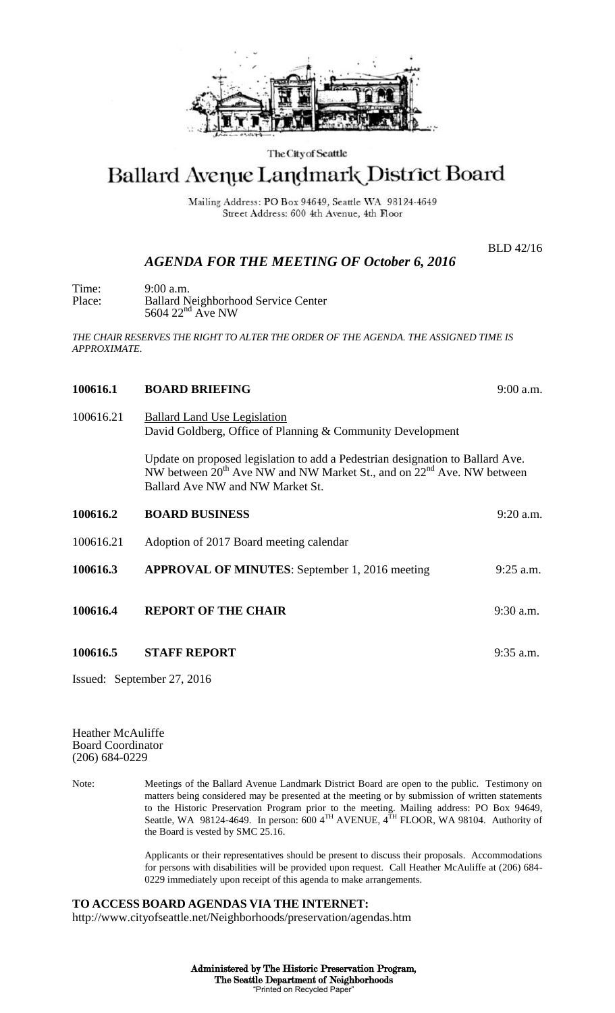

## The City of Seattle

# Ballard Avenue Landmark District Board

Mailing Address: PO Box 94649, Seattle WA 98124-4649 Street Address: 600 4th Avenue, 4th Floor

BLD 42/16

# *AGENDA FOR THE MEETING OF October 6, 2016*

Time: 9:00 a.m. Place: Ballard Neighborhood Service Center  $5604$   $22<sup>nd</sup>$  Ave NW

*THE CHAIR RESERVES THE RIGHT TO ALTER THE ORDER OF THE AGENDA. THE ASSIGNED TIME IS APPROXIMATE.*

#### **100616.1 BOARD BRIEFING** 9:00 a.m.

100616.21 Ballard Land Use Legislation David Goldberg, Office of Planning & Community Development

> Update on proposed legislation to add a Pedestrian designation to Ballard Ave. NW between  $20^{th}$  Ave NW and NW Market St., and on  $22^{nd}$  Ave. NW between Ballard Ave NW and NW Market St.

| 100616.2  | <b>BOARD BUSINESS</b>                                 | $9:20$ a.m. |
|-----------|-------------------------------------------------------|-------------|
| 100616.21 | Adoption of 2017 Board meeting calendar               |             |
| 100616.3  | <b>APPROVAL OF MINUTES:</b> September 1, 2016 meeting | $9:25$ a.m. |
| 100616.4  | <b>REPORT OF THE CHAIR</b>                            | $9:30$ a.m. |
| 100616.5  | <b>STAFF REPORT</b>                                   | $9:35$ a.m. |

Issued: September 27, 2016

Heather McAuliffe Board Coordinator (206) 684-0229

Note: Meetings of the Ballard Avenue Landmark District Board are open to the public. Testimony on matters being considered may be presented at the meeting or by submission of written statements to the Historic Preservation Program prior to the meeting. Mailing address: PO Box 94649, Seattle, WA 98124-4649. In person: 600  $4^{TH}$  AVENUE,  $4^{TH}$  FLOOR, WA 98104. Authority of the Board is vested by SMC 25.16.

> Applicants or their representatives should be present to discuss their proposals. Accommodations for persons with disabilities will be provided upon request. Call Heather McAuliffe at (206) 684- 0229 immediately upon receipt of this agenda to make arrangements.

### **TO ACCESS BOARD AGENDAS VIA THE INTERNET:**

http://www.cityofseattle.net/Neighborhoods/preservation/agendas.htm

Administered by The Historic Preservation Program, The Seattle Department of Neighborhoods "Printed on Recycled Paper